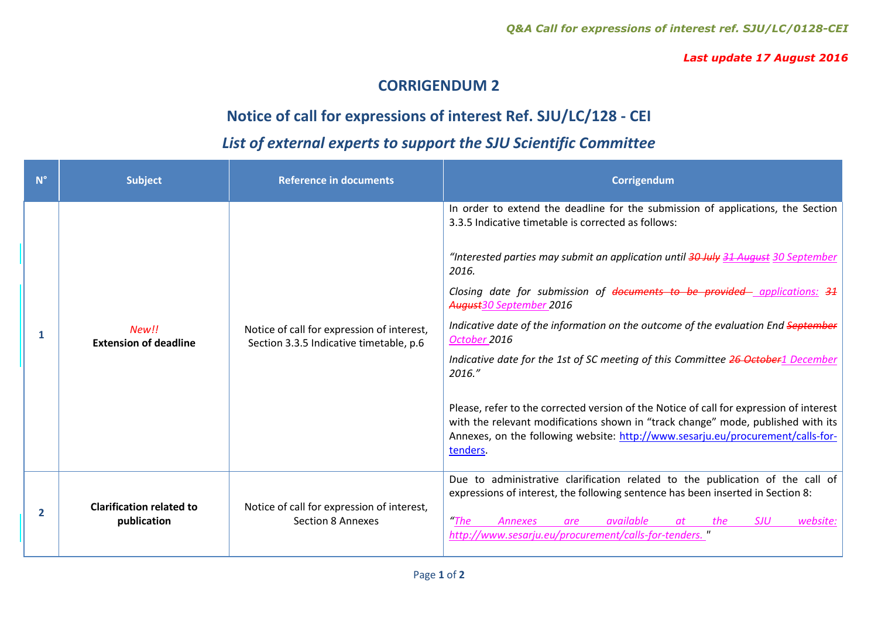*Last update 17 August 2016*

## **CORRIGENDUM 2**

## **Notice of call for expressions of interest Ref. SJU/LC/128 - CEI**

## *List of external experts to support the SJU Scientific Committee*

| $N^{\circ}$    | <b>Subject</b>                                 | <b>Reference in documents</b>                                                         | Corrigendum                                                                                                                                                                                                                                                                                                                                                                                                                                                                                                                                                                                                                                                                                                                                                                                                                     |
|----------------|------------------------------------------------|---------------------------------------------------------------------------------------|---------------------------------------------------------------------------------------------------------------------------------------------------------------------------------------------------------------------------------------------------------------------------------------------------------------------------------------------------------------------------------------------------------------------------------------------------------------------------------------------------------------------------------------------------------------------------------------------------------------------------------------------------------------------------------------------------------------------------------------------------------------------------------------------------------------------------------|
| 1              | New!!<br><b>Extension of deadline</b>          | Notice of call for expression of interest,<br>Section 3.3.5 Indicative timetable, p.6 | In order to extend the deadline for the submission of applications, the Section<br>3.3.5 Indicative timetable is corrected as follows:<br>"Interested parties may submit an application until 30 July 31 August 30 September<br>2016.<br>Closing date for submission of documents to be provided- applications: 31<br>August 30 September 2016<br>Indicative date of the information on the outcome of the evaluation End September<br>October 2016<br>Indicative date for the 1st of SC meeting of this Committee 26 October1 December<br>2016."<br>Please, refer to the corrected version of the Notice of call for expression of interest<br>with the relevant modifications shown in "track change" mode, published with its<br>Annexes, on the following website: http://www.sesarju.eu/procurement/calls-for-<br>tenders. |
| $\overline{2}$ | <b>Clarification related to</b><br>publication | Notice of call for expression of interest,<br>Section 8 Annexes                       | Due to administrative clarification related to the publication of the call of<br>expressions of interest, the following sentence has been inserted in Section 8:<br><b>The</b><br>website:<br><b>SJU</b><br>available<br><b>Annexes</b><br>the<br>are<br>http://www.sesarju.eu/procurement/calls-for-tenders.                                                                                                                                                                                                                                                                                                                                                                                                                                                                                                                   |